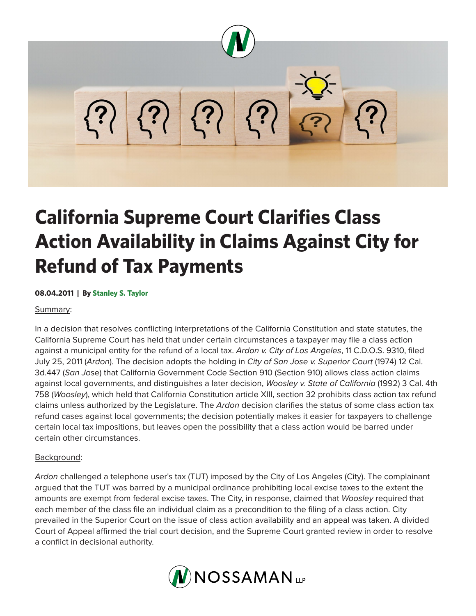

# **California Supreme Court Clarifies Class Action Availability in Claims Against City for Refund of Tax Payments**

## **08.04.2011 | By Stanley S. Taylor**

#### Summary:

In a decision that resolves conflicting interpretations of the California Constitution and state statutes, the California Supreme Court has held that under certain circumstances a taxpayer may file a class action against a municipal entity for the refund of a local tax. *Ardon v. City of Los Angeles*, 11 C.D.O.S. 9310, filed July 25, 2011 (*Ardon*). The decision adopts the holding in *City of San Jose v. Superior Court* (1974) 12 Cal. 3d.447 (*San Jo*se) that California Government Code Section 910 (Section 910) allows class action claims against local governments, and distinguishes a later decision, *Woosley v. State of California* (1992) 3 Cal. 4th 758 (*Woosley*), which held that California Constitution article XIII, section 32 prohibits class action tax refund claims unless authorized by the Legislature. The *Ardon* decision clarifies the status of some class action tax refund cases against local governments; the decision potentially makes it easier for taxpayers to challenge certain local tax impositions, but leaves open the possibility that a class action would be barred under certain other circumstances.

## Background:

*Ardon* challenged a telephone user's tax (TUT) imposed by the City of Los Angeles (City). The complainant argued that the TUT was barred by a municipal ordinance prohibiting local excise taxes to the extent the amounts are exempt from federal excise taxes. The City, in response, claimed that *Woosley* required that each member of the class file an individual claim as a precondition to the filing of a class action. City prevailed in the Superior Court on the issue of class action availability and an appeal was taken. A divided Court of Appeal affirmed the trial court decision, and the Supreme Court granted review in order to resolve a conflict in decisional authority.